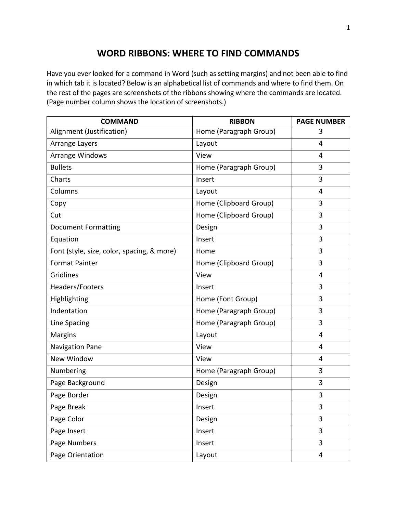## **WORD RIBBONS: WHERE TO FIND COMMANDS**

Have you ever looked for a command in Word (such as setting margins) and not been able to find in which tab it is located? Below is an alphabetical list of commands and where to find them. On the rest of the pages are screenshots of the ribbons showing where the commands are located. (Page number column shows the location of screenshots.)

| <b>COMMAND</b>                             | <b>RIBBON</b>          | <b>PAGE NUMBER</b> |
|--------------------------------------------|------------------------|--------------------|
| Alignment (Justification)                  | Home (Paragraph Group) | 3                  |
| Arrange Layers                             | Layout                 | 4                  |
| Arrange Windows                            | View                   | 4                  |
| <b>Bullets</b>                             | Home (Paragraph Group) | 3                  |
| Charts                                     | Insert                 | 3                  |
| Columns                                    | Layout                 | 4                  |
| Copy                                       | Home (Clipboard Group) | 3                  |
| Cut                                        | Home (Clipboard Group) | 3                  |
| <b>Document Formatting</b>                 | Design                 | 3                  |
| Equation                                   | Insert                 | 3                  |
| Font (style, size, color, spacing, & more) | Home                   | 3                  |
| <b>Format Painter</b>                      | Home (Clipboard Group) | 3                  |
| Gridlines                                  | View                   | 4                  |
| Headers/Footers                            | Insert                 | 3                  |
| Highlighting                               | Home (Font Group)      | 3                  |
| Indentation                                | Home (Paragraph Group) | 3                  |
| Line Spacing                               | Home (Paragraph Group) | 3                  |
| <b>Margins</b>                             | Layout                 | 4                  |
| <b>Navigation Pane</b>                     | View                   | 4                  |
| New Window                                 | View                   | 4                  |
| Numbering                                  | Home (Paragraph Group) | 3                  |
| Page Background                            | Design                 | 3                  |
| Page Border                                | Design                 | 3                  |
| Page Break                                 | Insert                 | 3                  |
| Page Color                                 | Design                 | 3                  |
| Page Insert                                | Insert                 | 3                  |
| Page Numbers                               | Insert                 | 3                  |
| Page Orientation                           | Layout                 | 4                  |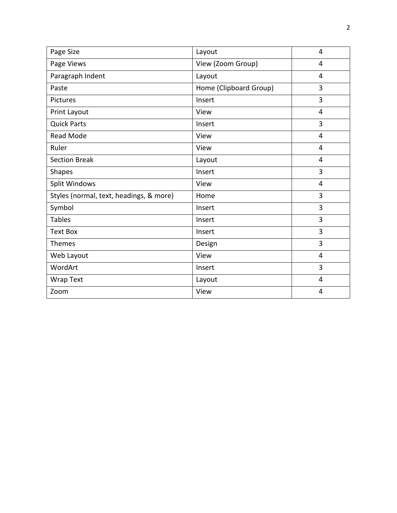| Page Size                               | Layout                 | 4              |
|-----------------------------------------|------------------------|----------------|
| Page Views                              | View (Zoom Group)      | 4              |
| Paragraph Indent                        | Layout                 | 4              |
| Paste                                   | Home (Clipboard Group) | 3              |
| Pictures                                | Insert                 | 3              |
| Print Layout                            | View                   | 4              |
| <b>Quick Parts</b>                      | Insert                 | 3              |
| <b>Read Mode</b>                        | View                   | 4              |
| Ruler                                   | View                   | $\overline{4}$ |
| <b>Section Break</b>                    | Layout                 | 4              |
| <b>Shapes</b>                           | Insert                 | 3              |
| <b>Split Windows</b>                    | View                   | 4              |
| Styles (normal, text, headings, & more) | Home                   | 3              |
| Symbol                                  | Insert                 | $\overline{3}$ |
| <b>Tables</b>                           | Insert                 | 3              |
| <b>Text Box</b>                         | Insert                 | 3              |
| Themes                                  | Design                 | 3              |
| Web Layout                              | View                   | 4              |
| WordArt                                 | Insert                 | $\overline{3}$ |
| <b>Wrap Text</b>                        | Layout                 | 4              |
| Zoom                                    | View                   | 4              |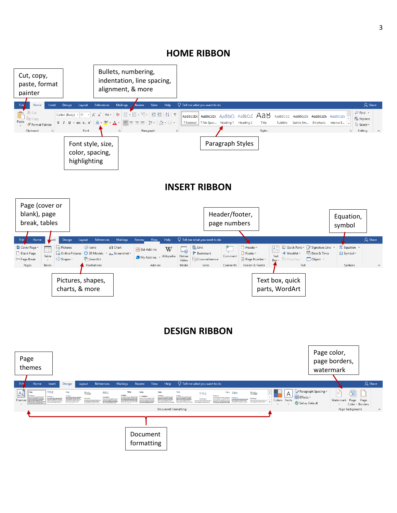## **HOME RIBBON**